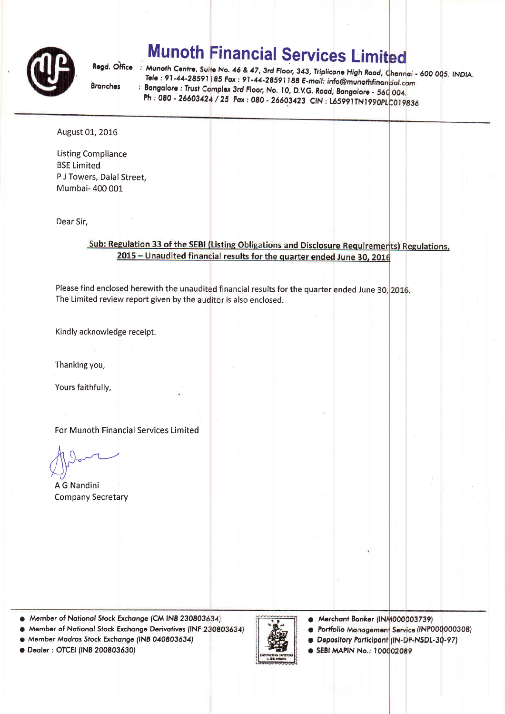

# **Munoth Financial Services Limited**

**Branches** 

Regd. Office : Munoth Centre, Suite No. 46 & 47, 3rd Floor, 343, Triplicane High Road, Chennai - 600 005. INDIA.<br>- Tele : 81-44-28591185 Enry 01-44 Road, Chennai - 600 005. INDIA. Tele : 91-44-28591 85 Fax : 91-44-28591188 E-mail: info@munothfinanc Bangalore : Trust Complex 3rd Floor, No. 10, D.V.G. Road, Bangalore - 5 Ph : 080 - 26603424 / 25 Fax : 080 - 26603423 CIN : L65991TN1990

### August 01, 2016

Listing Compliance BSE Limited P J Towers, Dalal Street, Mumbai- 400 001

Dear Sir,

### Sub: Regulation 33 of the SEBI (Listing Obligations and Disclosure Requirements) Regulations, 2015 - Unaudited financial results for the quarter ended June 30, 2016

Please find enclosed herewith the unaudited financial results for the quarter ended June 30, 2016. The Limited review report given by the auditor is also enclosed.

Kindly acknowledge receipt.

Thanking you,

Yours faithfully,

For Munoth Financial Services Limited

 $h \wedge$  $\bigwedge$  $\leftarrow$  )

A G Nandini Company Secretary

- $\bullet$  Member of National Stock Exchange (CM INB 230803634)  $\bullet$  Merchant Banker (INM000003739)
- $\bullet$  Member of National Stock Exchange Derivatives (INF 230803634)
- $\bullet$  Member Madras Stock Exchange (INB 040803634)

o Deoler: OTCEI (fNB 200803630)



- Portfolio Management Service (INP000000308)
- Depository Participant (IN-DP-NSDL-30-97)
- **O SEBI MAPIN No.: 100002089**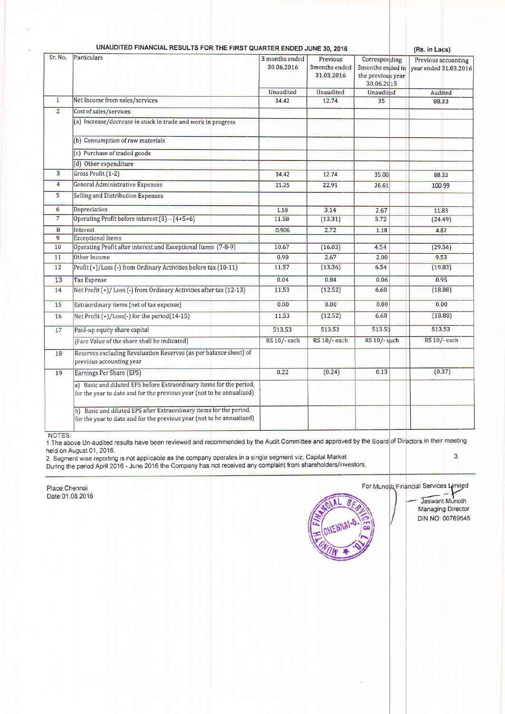| UNAUDITED FINANCIAL RESULTS FOR THE FIRST QUARTER ENDED JUNE 30, 2016 |
|-----------------------------------------------------------------------|
|-----------------------------------------------------------------------|

(Rs. in Lacs)

| Sr. No.        | Particulars                                                                                                                                  | 3 months ended<br>30.06.2016 | Previous<br>3months ended<br>31.03.2016 | Corresponding<br>3months ended in<br>the previous year<br>30.06.2015 | Previous accounting<br>vear ended 31.03.2016 |
|----------------|----------------------------------------------------------------------------------------------------------------------------------------------|------------------------------|-----------------------------------------|----------------------------------------------------------------------|----------------------------------------------|
| $\overline{1}$ |                                                                                                                                              | Unaudited                    | Unaudited                               | Unaudited                                                            | Audited                                      |
|                | Net Income from sales/services                                                                                                               | 34.42                        | 12.74                                   | 35                                                                   | 88.33                                        |
| $\overline{2}$ | Cost of sales/services                                                                                                                       |                              |                                         |                                                                      |                                              |
|                | (a) Increase/decrease in stock in trade and work in progress                                                                                 |                              |                                         |                                                                      |                                              |
|                | (b) Consumption of raw materials                                                                                                             |                              |                                         |                                                                      |                                              |
|                | (c) Purchase of traded goods                                                                                                                 |                              |                                         |                                                                      |                                              |
|                | (d) Other expenditure                                                                                                                        |                              |                                         |                                                                      |                                              |
| 3              | Gross Profit (1-2)                                                                                                                           | 34.42                        | 12.74                                   | 35.00                                                                | 88.33                                        |
| $\overline{4}$ | General Administrative Expenses                                                                                                              | 21.25                        | 22.91                                   | 26.61                                                                | 100.99                                       |
| 5              | Selling and Distribution Expenses                                                                                                            |                              |                                         |                                                                      |                                              |
| 6              | Depreciation                                                                                                                                 | 1.59                         | 3.14                                    | 2.67                                                                 | 11.83                                        |
| $\overline{7}$ | Operating Profit before interest (3) - (4+5+6)                                                                                               | 11.58                        | (13.31)                                 | 5.72                                                                 | (24.49)                                      |
| 8              | Interest                                                                                                                                     | 0.906                        | 2.72                                    | 1.18                                                                 | 4.87                                         |
| 9              | <b>Exceptional Items</b>                                                                                                                     |                              |                                         |                                                                      |                                              |
| 10             | Operating Profit after interest and Exceptional Items (7-8-9)                                                                                | 10.67                        | (16.03)                                 | 4.54                                                                 | (29.36)                                      |
| 11             | Other Income                                                                                                                                 | 0.90                         | 2.67                                    | 2.00                                                                 | 9.53                                         |
| 12             | Profit (+)/Loss (-) from Ordinary Activities before tax (10-11)                                                                              | 11.57                        | (13.36)                                 | 6.54                                                                 | (19.83)                                      |
| 13             | <b>Tax Expense</b>                                                                                                                           | 0.04                         | 0.84                                    | 0.06                                                                 | 0.95                                         |
| 14             | Net Profit (+)/Loss (-) from Ordinary Activities after tax (12-13)                                                                           | 11.53                        | (12.52)                                 | 6.60                                                                 | (18.88)                                      |
| 15             | Extraordinary items (net of tax expense)                                                                                                     | 0.00                         | 0.00                                    | 0.00                                                                 | 0.00                                         |
| 16             | Net Profit (+)/Loss(-) for the period(14-15)                                                                                                 | 11.53                        | (12.52)                                 | 6.60                                                                 | (18.88)                                      |
| 17             | Paid-up equity share capital                                                                                                                 | 513.53                       | 513.53                                  | 513.53                                                               | 513.53                                       |
|                | (Face Value of the share shall be indicated)                                                                                                 | RS 10/- each                 | RS 10/- each                            | RS 10/-each                                                          | RS 10/-each                                  |
| 18             | Reserves excluding Revaluation Reserves (as per balance sheet) of<br>previous accounting year                                                |                              |                                         |                                                                      |                                              |
| 19             | Earnings Per Share (EPS)                                                                                                                     | 0.22                         | (0.24)                                  | 0.13                                                                 | (0.37)                                       |
|                | a) Basic and diluted EPS before Extraordinary items for the period,<br>for the year to date and for the previous year (not to be annualized) |                              |                                         |                                                                      |                                              |
|                | b) Basic and diluted EPS after Extraordinary items for the period,<br>for the year to date and for the previous year (not to be annualized)  |                              |                                         |                                                                      |                                              |

NOTES:

1. The above Un-audited results have been reviewed and recommended by the Audit Committee and approved by the Board of Directors in their meeting held on August 01, 2016.  $3<sub>1</sub>$ 

2. Segment wise reporting is not applicable as the company operates in a single segment viz; Capital Market.<br>During the period April 2016 - June 2016 the Company has not received any complaint from shareholders/investors.

Place:Chennai Date:01.08.2016



For Munota Financial Services Limited

Jaswant Munoth Managing Director DIN NO: 00769545